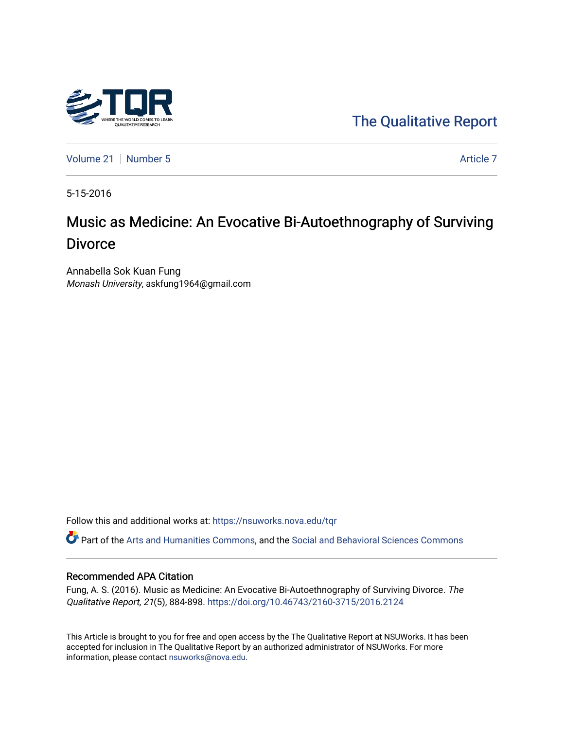

[Volume 21](https://nsuworks.nova.edu/tqr/vol21) [Number 5](https://nsuworks.nova.edu/tqr/vol21/iss5) Article 7

5-15-2016

# Music as Medicine: An Evocative Bi-Autoethnography of Surviving **Divorce**

Annabella Sok Kuan Fung Monash University, askfung1964@gmail.com

Follow this and additional works at: [https://nsuworks.nova.edu/tqr](https://nsuworks.nova.edu/tqr?utm_source=nsuworks.nova.edu%2Ftqr%2Fvol21%2Fiss5%2F7&utm_medium=PDF&utm_campaign=PDFCoverPages) 

Part of the [Arts and Humanities Commons,](http://network.bepress.com/hgg/discipline/438?utm_source=nsuworks.nova.edu%2Ftqr%2Fvol21%2Fiss5%2F7&utm_medium=PDF&utm_campaign=PDFCoverPages) and the [Social and Behavioral Sciences Commons](http://network.bepress.com/hgg/discipline/316?utm_source=nsuworks.nova.edu%2Ftqr%2Fvol21%2Fiss5%2F7&utm_medium=PDF&utm_campaign=PDFCoverPages)

#### Recommended APA Citation

Fung, A. S. (2016). Music as Medicine: An Evocative Bi-Autoethnography of Surviving Divorce. The Qualitative Report, 21(5), 884-898.<https://doi.org/10.46743/2160-3715/2016.2124>

This Article is brought to you for free and open access by the The Qualitative Report at NSUWorks. It has been accepted for inclusion in The Qualitative Report by an authorized administrator of NSUWorks. For more information, please contact [nsuworks@nova.edu.](mailto:nsuworks@nova.edu)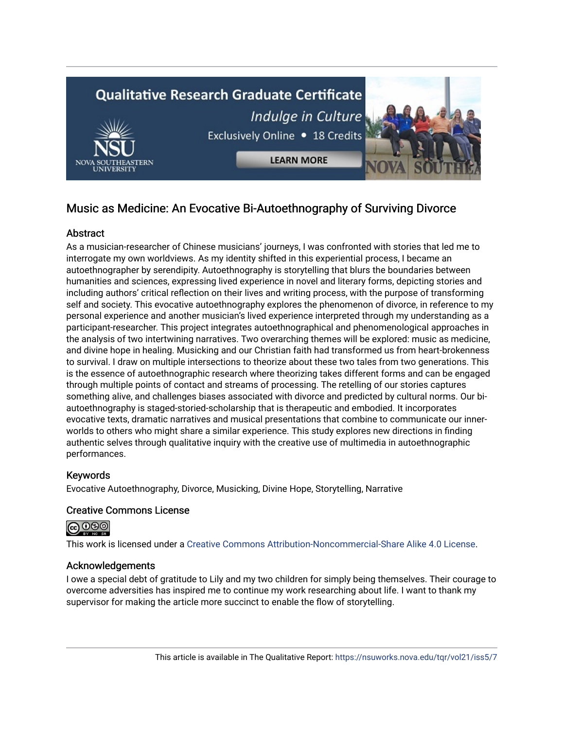

## Music as Medicine: An Evocative Bi-Autoethnography of Surviving Divorce

## **Abstract**

As a musician-researcher of Chinese musicians' journeys, I was confronted with stories that led me to interrogate my own worldviews. As my identity shifted in this experiential process, I became an autoethnographer by serendipity. Autoethnography is storytelling that blurs the boundaries between humanities and sciences, expressing lived experience in novel and literary forms, depicting stories and including authors' critical reflection on their lives and writing process, with the purpose of transforming self and society. This evocative autoethnography explores the phenomenon of divorce, in reference to my personal experience and another musician's lived experience interpreted through my understanding as a participant-researcher. This project integrates autoethnographical and phenomenological approaches in the analysis of two intertwining narratives. Two overarching themes will be explored: music as medicine, and divine hope in healing. Musicking and our Christian faith had transformed us from heart-brokenness to survival. I draw on multiple intersections to theorize about these two tales from two generations. This is the essence of autoethnographic research where theorizing takes different forms and can be engaged through multiple points of contact and streams of processing. The retelling of our stories captures something alive, and challenges biases associated with divorce and predicted by cultural norms. Our biautoethnography is staged-storied-scholarship that is therapeutic and embodied. It incorporates evocative texts, dramatic narratives and musical presentations that combine to communicate our innerworlds to others who might share a similar experience. This study explores new directions in finding authentic selves through qualitative inquiry with the creative use of multimedia in autoethnographic performances.

## Keywords

Evocative Autoethnography, Divorce, Musicking, Divine Hope, Storytelling, Narrative

## Creative Commons License



This work is licensed under a [Creative Commons Attribution-Noncommercial-Share Alike 4.0 License](https://creativecommons.org/licenses/by-nc-sa/4.0/).

## Acknowledgements

I owe a special debt of gratitude to Lily and my two children for simply being themselves. Their courage to overcome adversities has inspired me to continue my work researching about life. I want to thank my supervisor for making the article more succinct to enable the flow of storytelling.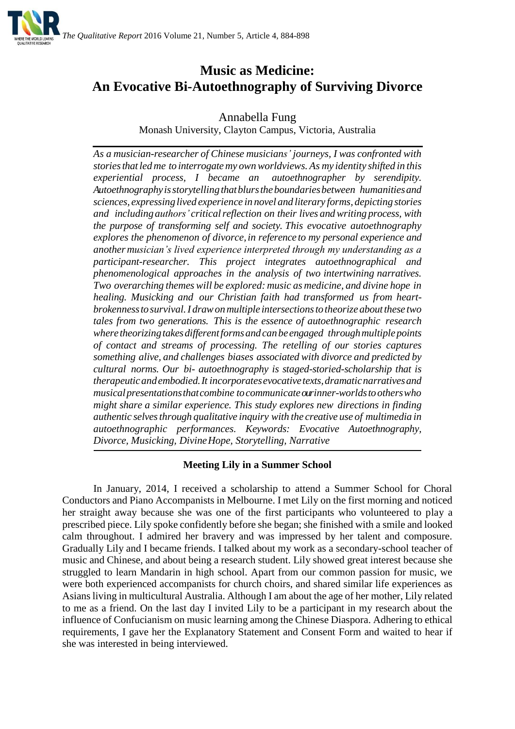

## **Music as Medicine: An Evocative Bi-Autoethnography of Surviving Divorce**

Annabella Fung

Monash University, Clayton Campus, Victoria, Australia

*As a musician-researcher of Chinese musicians' journeys, I was confronted with storiesthat led me to interrogate my ownworldviews. As my identity shifted in this experiential process, I became an autoethnographer by serendipity. Autoethnographyisstorytellingthatblurstheboundariesbetween humanitiesand sciences, expressing lived experience in novel and literary forms, depicting stories and including authors' criticalreflection on their lives andwriting process, with the purpose of transforming self and society. This evocative autoethnography explores the phenomenon of divorce,in reference to my personal experience and anothermusician's lived experience interpreted through my understanding as a participant-researcher. This project integrates autoethnographical and phenomenological approaches in the analysis of two intertwining narratives. Two overarching themes will be explored: music as medicine, and divine hope in healing. Musicking and our Christian faith had transformed us from heartbrokennesstosurvival.I drawonmultiple intersectionstotheorize aboutthese two tales from two generations. This is the essence of autoethnographic research where theorizingtakesdifferentformsandcanbe engaged throughmultiplepoints of contact and streams of processing. The retelling of our stories captures something alive, and challenges biases associated with divorce and predicted by cultural norms. Our bi- autoethnography is staged-storied-scholarship that is therapeuticandembodied.It incorporatesevocativetexts,dramaticnarrativesand musicalpresentationsthatcombine tocommunicateourinner-worldstootherswho might share a similar experience. This study explores new directions in finding authentic selvesthrough qualitative inquiry with the creative use of multimedia in autoethnographic performances. Keywords: Evocative Autoethnography, Divorce, Musicking, DivineHope, Storytelling, Narrative*

## **Meeting Lily in a Summer School**

In January, 2014, I received a scholarship to attend a Summer School for Choral Conductors and Piano Accompanists in Melbourne. I met Lily on the first morning and noticed her straight away because she was one of the first participants who volunteered to play a prescribed piece. Lily spoke confidently before she began; she finished with a smile and looked calm throughout. I admired her bravery and was impressed by her talent and composure. Gradually Lily and I became friends. I talked about my work as a secondary-school teacher of music and Chinese, and about being a research student. Lily showed great interest because she struggled to learn Mandarin in high school. Apart from our common passion for music, we were both experienced accompanists for church choirs, and shared similar life experiences as Asians living in multicultural Australia. Although I am about the age of her mother, Lily related to me as a friend. On the last day I invited Lily to be a participant in my research about the influence of Confucianism on music learning among the Chinese Diaspora. Adhering to ethical requirements, I gave her the Explanatory Statement and Consent Form and waited to hear if she was interested in being interviewed.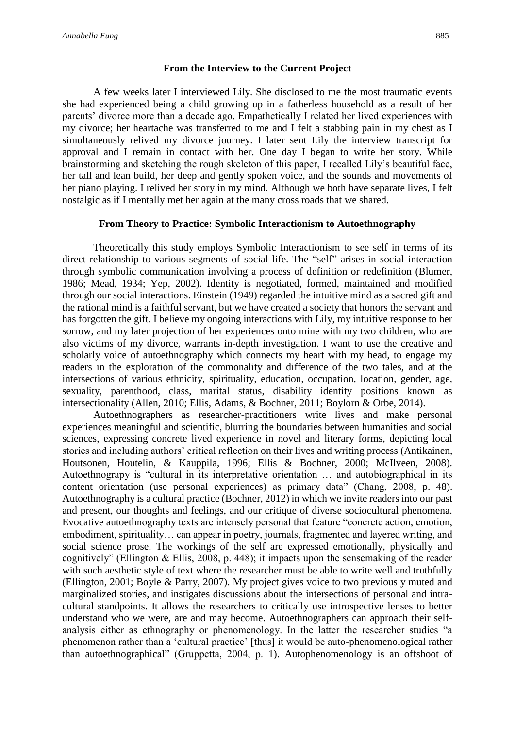#### **From the Interview to the Current Project**

A few weeks later I interviewed Lily. She disclosed to me the most traumatic events she had experienced being a child growing up in a fatherless household as a result of her parents' divorce more than a decade ago. Empathetically I related her lived experiences with my divorce; her heartache was transferred to me and I felt a stabbing pain in my chest as I simultaneously relived my divorce journey. I later sent Lily the interview transcript for approval and I remain in contact with her. One day I began to write her story. While brainstorming and sketching the rough skeleton of this paper, I recalled Lily's beautiful face, her tall and lean build, her deep and gently spoken voice, and the sounds and movements of her piano playing. I relived her story in my mind. Although we both have separate lives, I felt nostalgic as if I mentally met her again at the many cross roads that we shared.

#### **From Theory to Practice: Symbolic Interactionism to Autoethnography**

Theoretically this study employs Symbolic Interactionism to see self in terms of its direct relationship to various segments of social life. The "self" arises in social interaction through symbolic communication involving a process of definition or redefinition (Blumer, 1986; Mead, 1934; Yep, 2002). Identity is negotiated, formed, maintained and modified through our social interactions. Einstein (1949) regarded the intuitive mind as a sacred gift and the rational mind is a faithful servant, but we have created a society that honors the servant and has forgotten the gift. I believe my ongoing interactions with Lily, my intuitive response to her sorrow, and my later projection of her experiences onto mine with my two children, who are also victims of my divorce, warrants in-depth investigation. I want to use the creative and scholarly voice of autoethnography which connects my heart with my head, to engage my readers in the exploration of the commonality and difference of the two tales, and at the intersections of various ethnicity, spirituality, education, occupation, location, gender, age, sexuality, parenthood, class, marital status, disability identity positions known as intersectionality (Allen, 2010; Ellis, Adams, & Bochner, 2011; Boylorn & Orbe, 2014).

Autoethnographers as researcher-practitioners write lives and make personal experiences meaningful and scientific, blurring the boundaries between humanities and social sciences, expressing concrete lived experience in novel and literary forms, depicting local stories and including authors' critical reflection on their lives and writing process (Antikainen, Houtsonen, Houtelin, & Kauppila, 1996; Ellis & Bochner, 2000; McIlveen, 2008). Autoethnograpy is "cultural in its interpretative orientation … and autobiographical in its content orientation (use personal experiences) as primary data" (Chang, 2008, p. 48). Autoethnography is a cultural practice (Bochner, 2012) in which we invite readers into our past and present, our thoughts and feelings, and our critique of diverse sociocultural phenomena. Evocative autoethnography texts are intensely personal that feature "concrete action, emotion, embodiment, spirituality… can appear in poetry, journals, fragmented and layered writing, and social science prose. The workings of the self are expressed emotionally, physically and cognitively" (Ellington & Ellis, 2008, p. 448); it impacts upon the sensemaking of the reader with such aesthetic style of text where the researcher must be able to write well and truthfully (Ellington, 2001; Boyle & Parry, 2007). My project gives voice to two previously muted and marginalized stories, and instigates discussions about the intersections of personal and intracultural standpoints. It allows the researchers to critically use introspective lenses to better understand who we were, are and may become. Autoethnographers can approach their selfanalysis either as ethnography or phenomenology. In the latter the researcher studies "a phenomenon rather than a 'cultural practice' [thus] it would be auto-phenomenological rather than autoethnographical" (Gruppetta, 2004, p. 1). Autophenomenology is an offshoot of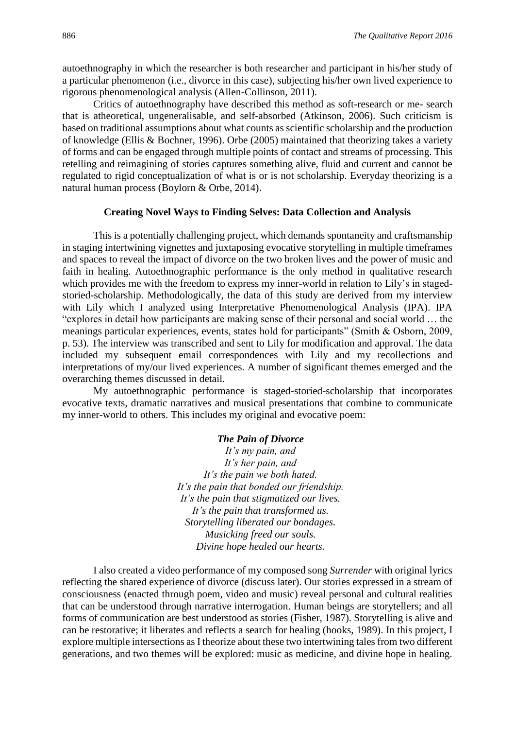autoethnography in which the researcher is both researcher and participant in his/her study of a particular phenomenon (i.e., divorce in this case), subjecting his/her own lived experience to rigorous phenomenological analysis (Allen-Collinson, 2011).

Critics of autoethnography have described this method as soft-research or me- search that is atheoretical, ungeneralisable, and self-absorbed (Atkinson, 2006). Such criticism is based on traditional assumptions about what counts as scientific scholarship and the production of knowledge (Ellis & Bochner, 1996). Orbe (2005) maintained that theorizing takes a variety of forms and can be engaged through multiple points of contact and streams of processing. This retelling and reimagining of stories captures something alive, fluid and current and cannot be regulated to rigid conceptualization of what is or is not scholarship. Everyday theorizing is a natural human process (Boylorn & Orbe, 2014).

#### **Creating Novel Ways to Finding Selves: Data Collection and Analysis**

This is a potentially challenging project, which demands spontaneity and craftsmanship in staging intertwining vignettes and juxtaposing evocative storytelling in multiple timeframes and spaces to reveal the impact of divorce on the two broken lives and the power of music and faith in healing. Autoethnographic performance is the only method in qualitative research which provides me with the freedom to express my inner-world in relation to Lily's in stagedstoried-scholarship. Methodologically, the data of this study are derived from my interview with Lily which I analyzed using Interpretative Phenomenological Analysis (IPA). IPA "explores in detail how participants are making sense of their personal and social world … the meanings particular experiences, events, states hold for participants" (Smith & Osborn, 2009, p. 53). The interview was transcribed and sent to Lily for modification and approval. The data included my subsequent email correspondences with Lily and my recollections and interpretations of my/our lived experiences. A number of significant themes emerged and the overarching themes discussed in detail.

My autoethnographic performance is staged-storied-scholarship that incorporates evocative texts, dramatic narratives and musical presentations that combine to communicate my inner-world to others. This includes my original and evocative poem:

#### *The Pain of Divorce*

*It's my pain, and It's her pain, and It's the pain we both hated. It's the pain that bonded our friendship. It's the pain that stigmatized our lives. It's the pain that transformed us. Storytelling liberated our bondages. Musicking freed our souls. Divine hope healed our hearts.*

I also created a video performance of my composed song *Surrender* with original lyrics reflecting the shared experience of divorce (discuss later). Our stories expressed in a stream of consciousness (enacted through poem, video and music) reveal personal and cultural realities that can be understood through narrative interrogation. Human beings are storytellers; and all forms of communication are best understood as stories (Fisher, 1987). Storytelling is alive and can be restorative; it liberates and reflects a search for healing (hooks, 1989). In this project, I explore multiple intersections as I theorize about these two intertwining tales from two different generations, and two themes will be explored: music as medicine, and divine hope in healing.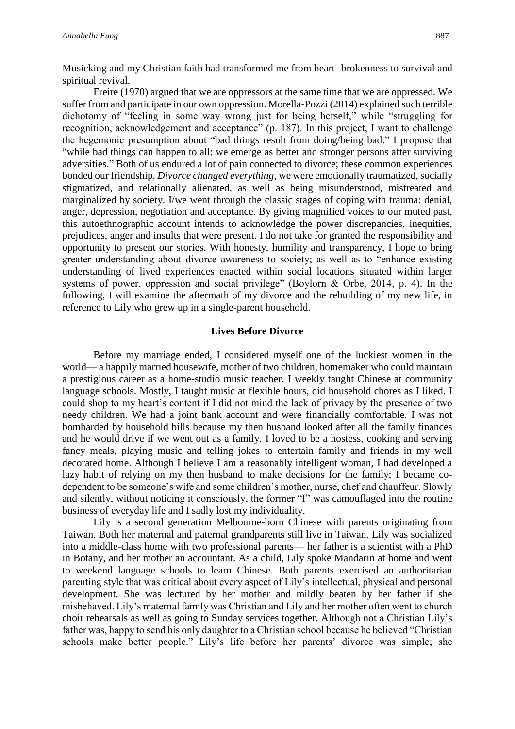Musicking and my Christian faith had transformed me from heart- brokenness to survival and spiritual revival.

Freire (1970) argued that we are oppressors at the same time that we are oppressed. We suffer from and participate in our own oppression. Morella-Pozzi (2014) explained such terrible dichotomy of "feeling in some way wrong just for being herself," while "struggling for recognition, acknowledgement and acceptance" (p. 187). In this project, I want to challenge the hegemonic presumption about "bad things result from doing/being bad." I propose that "while bad things can happen to all; we emerge as better and stronger persons after surviving adversities." Both of us endured a lot of pain connected to divorce; these common experiences bonded our friendship. *Divorce changed everything*, we were emotionally traumatized, socially stigmatized, and relationally alienated, as well as being misunderstood, mistreated and marginalized by society. I/we went through the classic stages of coping with trauma: denial, anger, depression, negotiation and acceptance. By giving magnified voices to our muted past, this autoethnographic account intends to acknowledge the power discrepancies, inequities, prejudices, anger and insults that were present. I do not take for granted the responsibility and opportunity to present our stories. With honesty, humility and transparency, I hope to bring greater understanding about divorce awareness to society; as well as to "enhance existing understanding of lived experiences enacted within social locations situated within larger systems of power, oppression and social privilege" (Boylorn & Orbe, 2014, p. 4). In the following, I will examine the aftermath of my divorce and the rebuilding of my new life, in reference to Lily who grew up in a single-parent household.

#### **Lives Before Divorce**

Before my marriage ended, I considered myself one of the luckiest women in the world— a happily married housewife, mother of two children, homemaker who could maintain a prestigious career as a home-studio music teacher. I weekly taught Chinese at community language schools. Mostly, I taught music at flexible hours, did household chores as I liked. I could shop to my heart's content if I did not mind the lack of privacy by the presence of two needy children. We had a joint bank account and were financially comfortable. I was not bombarded by household bills because my then husband looked after all the family finances and he would drive if we went out as a family. I loved to be a hostess, cooking and serving fancy meals, playing music and telling jokes to entertain family and friends in my well decorated home. Although I believe I am a reasonably intelligent woman, I had developed a lazy habit of relying on my then husband to make decisions for the family; I became codependent to be someone's wife and some children's mother, nurse, chef and chauffeur. Slowly and silently, without noticing it consciously, the former "I" was camouflaged into the routine business of everyday life and I sadly lost my individuality.

Lily is a second generation Melbourne-born Chinese with parents originating from Taiwan. Both her maternal and paternal grandparents still live in Taiwan. Lily was socialized into a middle-class home with two professional parents— her father is a scientist with a PhD in Botany, and her mother an accountant. As a child, Lily spoke Mandarin at home and went to weekend language schools to learn Chinese. Both parents exercised an authoritarian parenting style that was critical about every aspect of Lily's intellectual, physical and personal development. She was lectured by her mother and mildly beaten by her father if she misbehaved. Lily's maternal family was Christian and Lily and her mother often went to church choir rehearsals as well as going to Sunday services together. Although not a Christian Lily's father was, happy to send his only daughter to a Christian school because he believed "Christian schools make better people." Lily's life before her parents' divorce was simple; she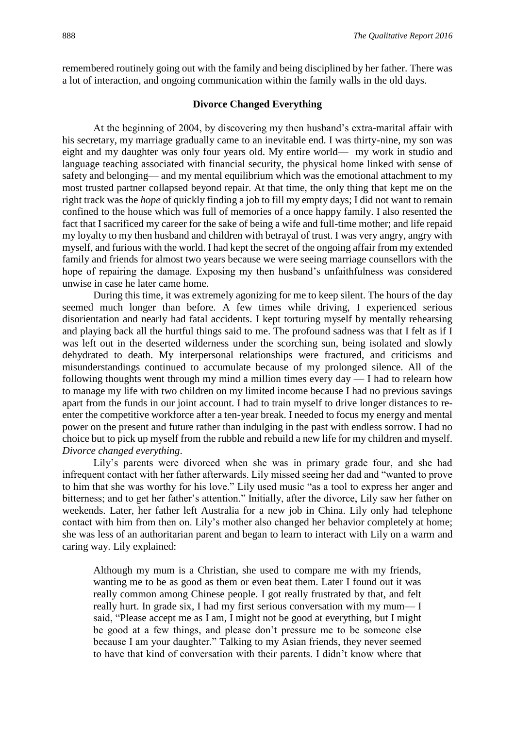remembered routinely going out with the family and being disciplined by her father. There was a lot of interaction, and ongoing communication within the family walls in the old days.

#### **Divorce Changed Everything**

At the beginning of 2004, by discovering my then husband's extra-marital affair with his secretary, my marriage gradually came to an inevitable end. I was thirty-nine, my son was eight and my daughter was only four years old. My entire world— my work in studio and language teaching associated with financial security, the physical home linked with sense of safety and belonging— and my mental equilibrium which was the emotional attachment to my most trusted partner collapsed beyond repair. At that time, the only thing that kept me on the right track was the *hope* of quickly finding a job to fill my empty days; I did not want to remain confined to the house which was full of memories of a once happy family. I also resented the fact that I sacrificed my career for the sake of being a wife and full-time mother; and life repaid my loyalty to my then husband and children with betrayal of trust. I was very angry, angry with myself, and furious with the world. I had kept the secret of the ongoing affair from my extended family and friends for almost two years because we were seeing marriage counsellors with the hope of repairing the damage. Exposing my then husband's unfaithfulness was considered unwise in case he later came home.

During this time, it was extremely agonizing for me to keep silent. The hours of the day seemed much longer than before. A few times while driving, I experienced serious disorientation and nearly had fatal accidents. I kept torturing myself by mentally rehearsing and playing back all the hurtful things said to me. The profound sadness was that I felt as if I was left out in the deserted wilderness under the scorching sun, being isolated and slowly dehydrated to death. My interpersonal relationships were fractured, and criticisms and misunderstandings continued to accumulate because of my prolonged silence. All of the following thoughts went through my mind a million times every  $day - I$  had to relearn how to manage my life with two children on my limited income because I had no previous savings apart from the funds in our joint account. I had to train myself to drive longer distances to reenter the competitive workforce after a ten-year break. I needed to focus my energy and mental power on the present and future rather than indulging in the past with endless sorrow. I had no choice but to pick up myself from the rubble and rebuild a new life for my children and myself. *Divorce changed everything*.

Lily's parents were divorced when she was in primary grade four, and she had infrequent contact with her father afterwards. Lily missed seeing her dad and "wanted to prove to him that she was worthy for his love." Lily used music "as a tool to express her anger and bitterness; and to get her father's attention." Initially, after the divorce, Lily saw her father on weekends. Later, her father left Australia for a new job in China. Lily only had telephone contact with him from then on. Lily's mother also changed her behavior completely at home; she was less of an authoritarian parent and began to learn to interact with Lily on a warm and caring way. Lily explained:

Although my mum is a Christian, she used to compare me with my friends, wanting me to be as good as them or even beat them. Later I found out it was really common among Chinese people. I got really frustrated by that, and felt really hurt. In grade six, I had my first serious conversation with my mum— I said, "Please accept me as I am, I might not be good at everything, but I might be good at a few things, and please don't pressure me to be someone else because I am your daughter." Talking to my Asian friends, they never seemed to have that kind of conversation with their parents. I didn't know where that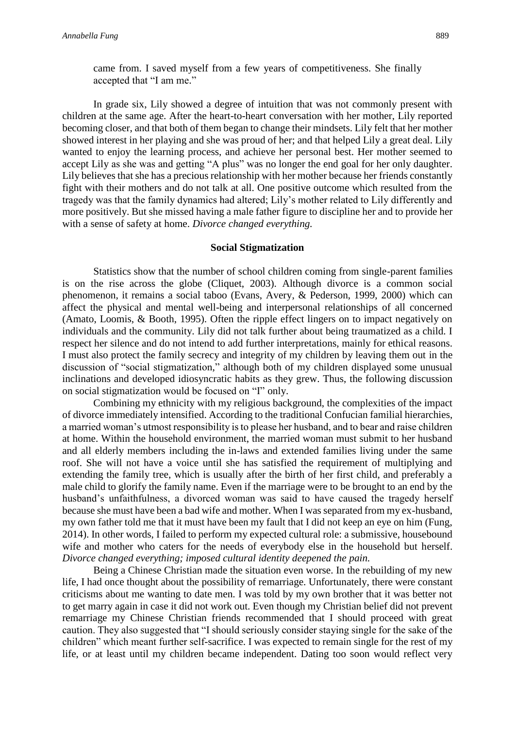In grade six, Lily showed a degree of intuition that was not commonly present with children at the same age. After the heart-to-heart conversation with her mother, Lily reported becoming closer, and that both of them began to change their mindsets. Lily felt that her mother showed interest in her playing and she was proud of her; and that helped Lily a great deal. Lily wanted to enjoy the learning process, and achieve her personal best. Her mother seemed to accept Lily as she was and getting "A plus" was no longer the end goal for her only daughter. Lily believes that she has a precious relationship with her mother because her friends constantly fight with their mothers and do not talk at all. One positive outcome which resulted from the tragedy was that the family dynamics had altered; Lily's mother related to Lily differently and more positively. But she missed having a male father figure to discipline her and to provide her with a sense of safety at home. *Divorce changed everything.*

#### **Social Stigmatization**

Statistics show that the number of school children coming from single-parent families is on the rise across the globe (Cliquet, 2003). Although divorce is a common social phenomenon, it remains a social taboo (Evans, Avery, & Pederson, 1999, 2000) which can affect the physical and mental well-being and interpersonal relationships of all concerned (Amato, Loomis, & Booth, 1995). Often the ripple effect lingers on to impact negatively on individuals and the community. Lily did not talk further about being traumatized as a child. I respect her silence and do not intend to add further interpretations, mainly for ethical reasons. I must also protect the family secrecy and integrity of my children by leaving them out in the discussion of "social stigmatization," although both of my children displayed some unusual inclinations and developed idiosyncratic habits as they grew. Thus, the following discussion on social stigmatization would be focused on "I" only.

Combining my ethnicity with my religious background, the complexities of the impact of divorce immediately intensified. According to the traditional Confucian familial hierarchies, a married woman's utmost responsibility is to please her husband, and to bear and raise children at home. Within the household environment, the married woman must submit to her husband and all elderly members including the in-laws and extended families living under the same roof. She will not have a voice until she has satisfied the requirement of multiplying and extending the family tree, which is usually after the birth of her first child, and preferably a male child to glorify the family name. Even if the marriage were to be brought to an end by the husband's unfaithfulness, a divorced woman was said to have caused the tragedy herself because she must have been a bad wife and mother. When I was separated from my ex-husband, my own father told me that it must have been my fault that I did not keep an eye on him (Fung, 2014). In other words, I failed to perform my expected cultural role: a submissive, housebound wife and mother who caters for the needs of everybody else in the household but herself. *Divorce changed everything; imposed cultural identity deepened the pain.*

Being a Chinese Christian made the situation even worse. In the rebuilding of my new life, I had once thought about the possibility of remarriage. Unfortunately, there were constant criticisms about me wanting to date men. I was told by my own brother that it was better not to get marry again in case it did not work out. Even though my Christian belief did not prevent remarriage my Chinese Christian friends recommended that I should proceed with great caution. They also suggested that "I should seriously consider staying single for the sake of the children" which meant further self-sacrifice. I was expected to remain single for the rest of my life, or at least until my children became independent. Dating too soon would reflect very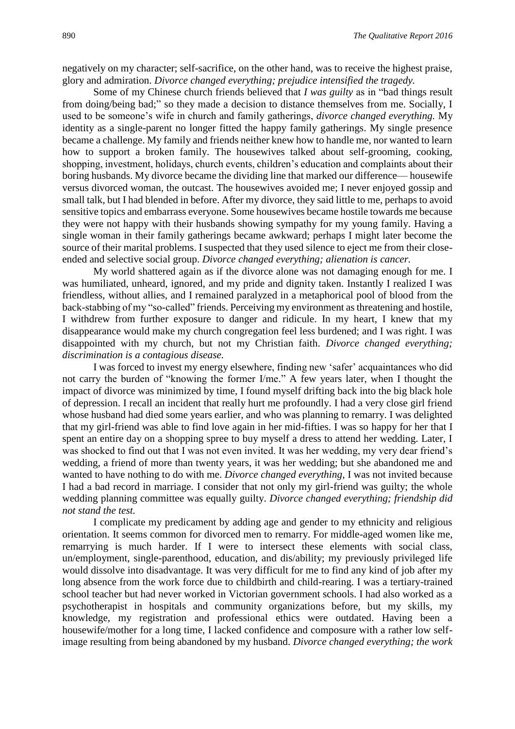negatively on my character; self-sacrifice, on the other hand, was to receive the highest praise, glory and admiration. *Divorce changed everything; prejudice intensified the tragedy.*

Some of my Chinese church friends believed that *I was guilty* as in "bad things result from doing/being bad;" so they made a decision to distance themselves from me. Socially, I used to be someone's wife in church and family gatherings, *divorce changed everything.* My identity as a single-parent no longer fitted the happy family gatherings. My single presence became a challenge. My family and friends neither knew how to handle me, nor wanted to learn how to support a broken family. The housewives talked about self-grooming, cooking, shopping, investment, holidays, church events, children's education and complaints about their boring husbands. My divorce became the dividing line that marked our difference— housewife versus divorced woman, the outcast. The housewives avoided me; I never enjoyed gossip and small talk, but I had blended in before. After my divorce, they said little to me, perhaps to avoid sensitive topics and embarrass everyone. Some housewives became hostile towards me because they were not happy with their husbands showing sympathy for my young family. Having a single woman in their family gatherings became awkward; perhaps I might later become the source of their marital problems. I suspected that they used silence to eject me from their closeended and selective social group. *Divorce changed everything; alienation is cancer.*

My world shattered again as if the divorce alone was not damaging enough for me. I was humiliated, unheard, ignored, and my pride and dignity taken. Instantly I realized I was friendless, without allies, and I remained paralyzed in a metaphorical pool of blood from the back-stabbing of my "so-called" friends. Perceiving my environment as threatening and hostile, I withdrew from further exposure to danger and ridicule. In my heart, I knew that my disappearance would make my church congregation feel less burdened; and I was right. I was disappointed with my church, but not my Christian faith. *Divorce changed everything; discrimination is a contagious disease.*

I was forced to invest my energy elsewhere, finding new 'safer' acquaintances who did not carry the burden of "knowing the former I/me." A few years later, when I thought the impact of divorce was minimized by time, I found myself drifting back into the big black hole of depression. I recall an incident that really hurt me profoundly. I had a very close girl friend whose husband had died some years earlier, and who was planning to remarry. I was delighted that my girl-friend was able to find love again in her mid-fifties. I was so happy for her that I spent an entire day on a shopping spree to buy myself a dress to attend her wedding. Later, I was shocked to find out that I was not even invited. It was her wedding, my very dear friend's wedding, a friend of more than twenty years, it was her wedding; but she abandoned me and wanted to have nothing to do with me. *Divorce changed everything*, I was not invited because I had a bad record in marriage. I consider that not only my girl-friend was guilty; the whole wedding planning committee was equally guilty. *Divorce changed everything; friendship did not stand the test.*

I complicate my predicament by adding age and gender to my ethnicity and religious orientation. It seems common for divorced men to remarry. For middle-aged women like me, remarrying is much harder. If I were to intersect these elements with social class, un/employment, single-parenthood, education, and dis/ability; my previously privileged life would dissolve into disadvantage. It was very difficult for me to find any kind of job after my long absence from the work force due to childbirth and child-rearing. I was a tertiary-trained school teacher but had never worked in Victorian government schools. I had also worked as a psychotherapist in hospitals and community organizations before, but my skills, my knowledge, my registration and professional ethics were outdated. Having been a housewife/mother for a long time, I lacked confidence and composure with a rather low selfimage resulting from being abandoned by my husband. *Divorce changed everything; the work*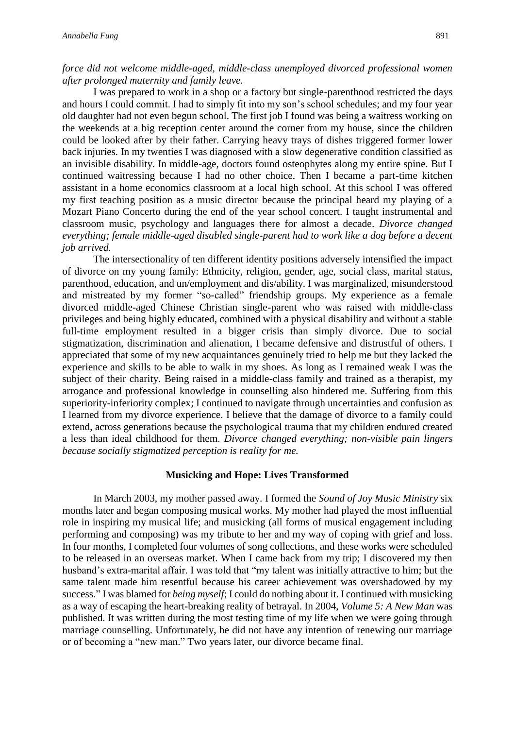### *force did not welcome middle-aged, middle-class unemployed divorced professional women after prolonged maternity and family leave.*

I was prepared to work in a shop or a factory but single-parenthood restricted the days and hours I could commit. I had to simply fit into my son's school schedules; and my four year old daughter had not even begun school. The first job I found was being a waitress working on the weekends at a big reception center around the corner from my house, since the children could be looked after by their father. Carrying heavy trays of dishes triggered former lower back injuries. In my twenties I was diagnosed with a slow degenerative condition classified as an invisible disability. In middle-age, doctors found osteophytes along my entire spine. But I continued waitressing because I had no other choice. Then I became a part-time kitchen assistant in a home economics classroom at a local high school. At this school I was offered my first teaching position as a music director because the principal heard my playing of a Mozart Piano Concerto during the end of the year school concert. I taught instrumental and classroom music, psychology and languages there for almost a decade. *Divorce changed everything; female middle-aged disabled single-parent had to work like a dog before a decent job arrived.*

The intersectionality of ten different identity positions adversely intensified the impact of divorce on my young family: Ethnicity, religion, gender, age, social class, marital status, parenthood, education, and un/employment and dis/ability. I was marginalized, misunderstood and mistreated by my former "so-called" friendship groups. My experience as a female divorced middle-aged Chinese Christian single-parent who was raised with middle-class privileges and being highly educated, combined with a physical disability and without a stable full-time employment resulted in a bigger crisis than simply divorce. Due to social stigmatization, discrimination and alienation, I became defensive and distrustful of others. I appreciated that some of my new acquaintances genuinely tried to help me but they lacked the experience and skills to be able to walk in my shoes. As long as I remained weak I was the subject of their charity. Being raised in a middle-class family and trained as a therapist, my arrogance and professional knowledge in counselling also hindered me. Suffering from this superiority-inferiority complex; I continued to navigate through uncertainties and confusion as I learned from my divorce experience. I believe that the damage of divorce to a family could extend, across generations because the psychological trauma that my children endured created a less than ideal childhood for them. *Divorce changed everything; non-visible pain lingers because socially stigmatized perception is reality for me.*

#### **Musicking and Hope: Lives Transformed**

In March 2003, my mother passed away. I formed the *Sound of Joy Music Ministry* six months later and began composing musical works. My mother had played the most influential role in inspiring my musical life; and musicking (all forms of musical engagement including performing and composing) was my tribute to her and my way of coping with grief and loss. In four months, I completed four volumes of song collections, and these works were scheduled to be released in an overseas market. When I came back from my trip; I discovered my then husband's extra-marital affair. I was told that "my talent was initially attractive to him; but the same talent made him resentful because his career achievement was overshadowed by my success." I was blamed for *being myself*; I could do nothing about it. I continued with musicking as a way of escaping the heart-breaking reality of betrayal. In 2004, *Volume 5: A New Man* was published. It was written during the most testing time of my life when we were going through marriage counselling. Unfortunately, he did not have any intention of renewing our marriage or of becoming a "new man." Two years later, our divorce became final.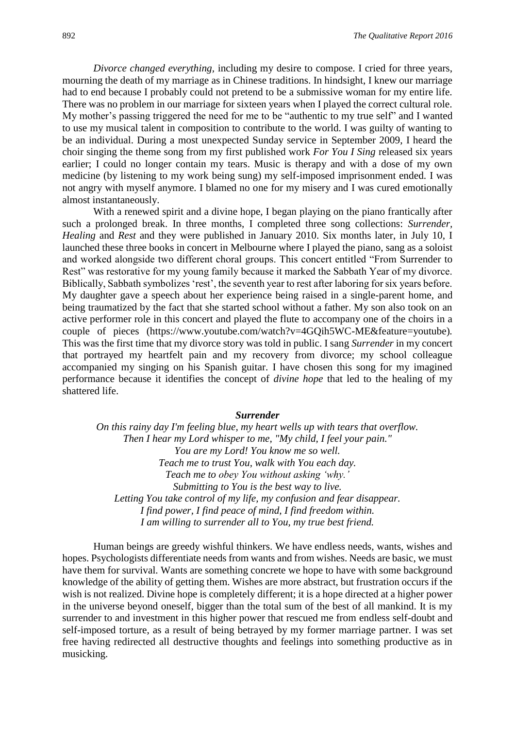*Divorce changed everything,* including my desire to compose. I cried for three years, mourning the death of my marriage as in Chinese traditions. In hindsight, I knew our marriage had to end because I probably could not pretend to be a submissive woman for my entire life. There was no problem in our marriage for sixteen years when I played the correct cultural role. My mother's passing triggered the need for me to be "authentic to my true self" and I wanted to use my musical talent in composition to contribute to the world. I was guilty of wanting to be an individual. During a most unexpected Sunday service in September 2009, I heard the choir singing the theme song from my first published work *For You I Sing* released six years earlier; I could no longer contain my tears. Music is therapy and with a dose of my own medicine (by listening to my work being sung) my self-imposed imprisonment ended. I was not angry with myself anymore. I blamed no one for my misery and I was cured emotionally almost instantaneously.

With a renewed spirit and a divine hope, I began playing on the piano frantically after such a prolonged break. In three months, I completed three song collections: *Surrender, Healing* and *Rest* and they were published in January 2010. Six months later, in July 10, I launched these three books in concert in Melbourne where I played the piano, sang as a soloist and worked alongside two different choral groups. This concert entitled "From Surrender to Rest" was restorative for my young family because it marked the Sabbath Year of my divorce. Biblically, Sabbath symbolizes 'rest', the seventh year to rest after laboring for six years before. My daughter gave a speech about her experience being raised in a single-parent home, and being traumatized by the fact that she started school without a father. My son also took on an active performer role in this concert and played the flute to accompany one of the choirs in a couple of pieces [\(https://www.youtube.com/watch?v=4GQih5WC-ME&feature=youtube\)](https://www.youtube.com/watch?v=4GQih5WC-ME&feature=youtube)*.*  This was the first time that my divorce story was told in public. I sang *Surrender* in my concert that portrayed my heartfelt pain and my recovery from divorce; my school colleague accompanied my singing on his Spanish guitar. I have chosen this song for my imagined performance because it identifies the concept of *divine hope* that led to the healing of my shattered life.

#### *Surrender*

*On this rainy day I'm feeling blue, my heart wells up with tears that overflow. Then I hear my Lord whisper to me, "My child, I feel your pain." You are my Lord! You know me so well. Teach me to trust You, walk with You each day. Teach me to obey You without asking 'why.' Submitting to You is the best way to live. Letting You take control of my life, my confusion and fear disappear. I find power, I find peace of mind, I find freedom within. I am willing to surrender all to You, my true best friend.*

Human beings are greedy wishful thinkers. We have endless needs, wants, wishes and hopes. Psychologists differentiate needs from wants and from wishes. Needs are basic, we must have them for survival. Wants are something concrete we hope to have with some background knowledge of the ability of getting them. Wishes are more abstract, but frustration occurs if the wish is not realized. Divine hope is completely different; it is a hope directed at a higher power in the universe beyond oneself, bigger than the total sum of the best of all mankind. It is my surrender to and investment in this higher power that rescued me from endless self-doubt and self-imposed torture, as a result of being betrayed by my former marriage partner. I was set free having redirected all destructive thoughts and feelings into something productive as in musicking.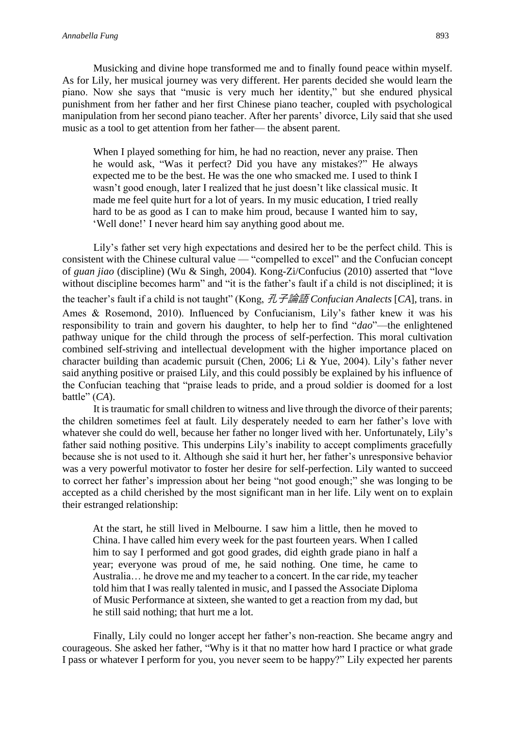Musicking and divine hope transformed me and to finally found peace within myself. As for Lily, her musical journey was very different. Her parents decided she would learn the piano. Now she says that "music is very much her identity," but she endured physical punishment from her father and her first Chinese piano teacher, coupled with psychological manipulation from her second piano teacher. After her parents' divorce, Lily said that she used music as a tool to get attention from her father— the absent parent.

When I played something for him, he had no reaction, never any praise. Then he would ask, "Was it perfect? Did you have any mistakes?" He always expected me to be the best. He was the one who smacked me. I used to think I wasn't good enough, later I realized that he just doesn't like classical music. It made me feel quite hurt for a lot of years. In my music education, I tried really hard to be as good as I can to make him proud, because I wanted him to say, 'Well done!' I never heard him say anything good about me.

Lily's father set very high expectations and desired her to be the perfect child. This is consistent with the Chinese cultural value — "compelled to excel" and the Confucian concept of *guan jiao* (discipline) (Wu & Singh, 2004). Kong-Zi/Confucius (2010) asserted that "love without discipline becomes harm" and "it is the father's fault if a child is not disciplined; it is the teacher's fault if a child is not taught" (Kong, 孔子論語 *Confucian Analects* [*CA*], trans. in Ames & Rosemond, 2010). Influenced by Confucianism, Lily's father knew it was his responsibility to train and govern his daughter, to help her to find "*dao*"—the enlightened pathway unique for the child through the process of self-perfection. This moral cultivation combined self-striving and intellectual development with the higher importance placed on character building than academic pursuit (Chen, 2006; Li & Yue, 2004). Lily's father never said anything positive or praised Lily, and this could possibly be explained by his influence of the Confucian teaching that "praise leads to pride, and a proud soldier is doomed for a lost battle" (*CA*).

It is traumatic for small children to witness and live through the divorce of their parents; the children sometimes feel at fault. Lily desperately needed to earn her father's love with whatever she could do well, because her father no longer lived with her. Unfortunately, Lily's father said nothing positive. This underpins Lily's inability to accept compliments gracefully because she is not used to it. Although she said it hurt her, her father's unresponsive behavior was a very powerful motivator to foster her desire for self-perfection. Lily wanted to succeed to correct her father's impression about her being "not good enough;" she was longing to be accepted as a child cherished by the most significant man in her life. Lily went on to explain their estranged relationship:

At the start, he still lived in Melbourne. I saw him a little, then he moved to China. I have called him every week for the past fourteen years. When I called him to say I performed and got good grades, did eighth grade piano in half a year; everyone was proud of me, he said nothing. One time, he came to Australia… he drove me and my teacher to a concert. In the car ride, my teacher told him that I was really talented in music, and I passed the Associate Diploma of Music Performance at sixteen, she wanted to get a reaction from my dad, but he still said nothing; that hurt me a lot.

 Finally, Lily could no longer accept her father's non-reaction. She became angry and courageous. She asked her father, "Why is it that no matter how hard I practice or what grade I pass or whatever I perform for you, you never seem to be happy?" Lily expected her parents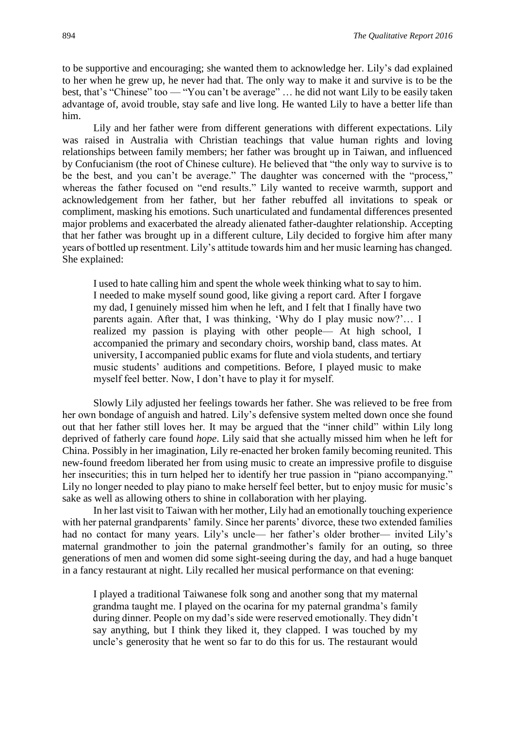to be supportive and encouraging; she wanted them to acknowledge her. Lily's dad explained to her when he grew up, he never had that. The only way to make it and survive is to be the best, that's "Chinese" too — "You can't be average" … he did not want Lily to be easily taken advantage of, avoid trouble, stay safe and live long. He wanted Lily to have a better life than him.

Lily and her father were from different generations with different expectations. Lily was raised in Australia with Christian teachings that value human rights and loving relationships between family members; her father was brought up in Taiwan, and influenced by Confucianism (the root of Chinese culture). He believed that "the only way to survive is to be the best, and you can't be average." The daughter was concerned with the "process," whereas the father focused on "end results." Lily wanted to receive warmth, support and acknowledgement from her father, but her father rebuffed all invitations to speak or compliment, masking his emotions. Such unarticulated and fundamental differences presented major problems and exacerbated the already alienated father-daughter relationship. Accepting that her father was brought up in a different culture, Lily decided to forgive him after many years of bottled up resentment. Lily's attitude towards him and her music learning has changed. She explained:

I used to hate calling him and spent the whole week thinking what to say to him. I needed to make myself sound good, like giving a report card. After I forgave my dad, I genuinely missed him when he left, and I felt that I finally have two parents again. After that, I was thinking, 'Why do I play music now?'… I realized my passion is playing with other people— At high school, I accompanied the primary and secondary choirs, worship band, class mates. At university, I accompanied public exams for flute and viola students, and tertiary music students' auditions and competitions. Before, I played music to make myself feel better. Now, I don't have to play it for myself.

Slowly Lily adjusted her feelings towards her father. She was relieved to be free from her own bondage of anguish and hatred. Lily's defensive system melted down once she found out that her father still loves her. It may be argued that the "inner child" within Lily long deprived of fatherly care found *hope*. Lily said that she actually missed him when he left for China. Possibly in her imagination, Lily re-enacted her broken family becoming reunited. This new-found freedom liberated her from using music to create an impressive profile to disguise her insecurities; this in turn helped her to identify her true passion in "piano accompanying." Lily no longer needed to play piano to make herself feel better, but to enjoy music for music's sake as well as allowing others to shine in collaboration with her playing.

In her last visit to Taiwan with her mother, Lily had an emotionally touching experience with her paternal grandparents' family. Since her parents' divorce, these two extended families had no contact for many years. Lily's uncle— her father's older brother— invited Lily's maternal grandmother to join the paternal grandmother's family for an outing, so three generations of men and women did some sight-seeing during the day, and had a huge banquet in a fancy restaurant at night. Lily recalled her musical performance on that evening:

I played a traditional Taiwanese folk song and another song that my maternal grandma taught me. I played on the ocarina for my paternal grandma's family during dinner. People on my dad's side were reserved emotionally. They didn't say anything, but I think they liked it, they clapped. I was touched by my uncle's generosity that he went so far to do this for us. The restaurant would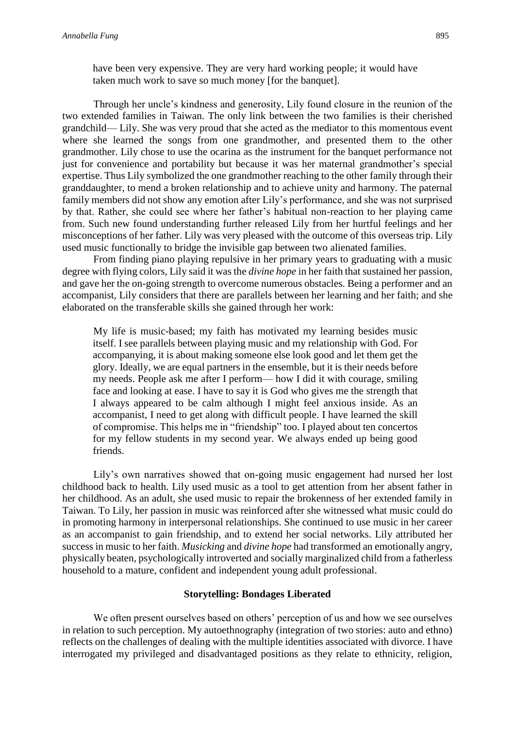Through her uncle's kindness and generosity, Lily found closure in the reunion of the two extended families in Taiwan. The only link between the two families is their cherished grandchild— Lily. She was very proud that she acted as the mediator to this momentous event where she learned the songs from one grandmother, and presented them to the other grandmother. Lily chose to use the ocarina as the instrument for the banquet performance not just for convenience and portability but because it was her maternal grandmother's special expertise. Thus Lily symbolized the one grandmother reaching to the other family through their granddaughter, to mend a broken relationship and to achieve unity and harmony. The paternal family members did not show any emotion after Lily's performance, and she was not surprised by that. Rather, she could see where her father's habitual non-reaction to her playing came from. Such new found understanding further released Lily from her hurtful feelings and her misconceptions of her father. Lily was very pleased with the outcome of this overseas trip. Lily used music functionally to bridge the invisible gap between two alienated families.

From finding piano playing repulsive in her primary years to graduating with a music degree with flying colors, Lily said it was the *divine hope* in her faith that sustained her passion, and gave her the on-going strength to overcome numerous obstacles. Being a performer and an accompanist, Lily considers that there are parallels between her learning and her faith; and she elaborated on the transferable skills she gained through her work:

My life is music-based; my faith has motivated my learning besides music itself. I see parallels between playing music and my relationship with God. For accompanying, it is about making someone else look good and let them get the glory. Ideally, we are equal partners in the ensemble, but it is their needs before my needs. People ask me after I perform— how I did it with courage, smiling face and looking at ease. I have to say it is God who gives me the strength that I always appeared to be calm although I might feel anxious inside. As an accompanist, I need to get along with difficult people. I have learned the skill of compromise. This helps me in "friendship" too. I played about ten concertos for my fellow students in my second year. We always ended up being good friends.

Lily's own narratives showed that on-going music engagement had nursed her lost childhood back to health. Lily used music as a tool to get attention from her absent father in her childhood. As an adult, she used music to repair the brokenness of her extended family in Taiwan. To Lily, her passion in music was reinforced after she witnessed what music could do in promoting harmony in interpersonal relationships. She continued to use music in her career as an accompanist to gain friendship, and to extend her social networks. Lily attributed her success in music to her faith. *Musicking* and *divine hope* had transformed an emotionally angry, physically beaten, psychologically introverted and socially marginalized child from a fatherless household to a mature, confident and independent young adult professional.

#### **Storytelling: Bondages Liberated**

We often present ourselves based on others' perception of us and how we see ourselves in relation to such perception. My autoethnography (integration of two stories: auto and ethno) reflects on the challenges of dealing with the multiple identities associated with divorce. I have interrogated my privileged and disadvantaged positions as they relate to ethnicity, religion,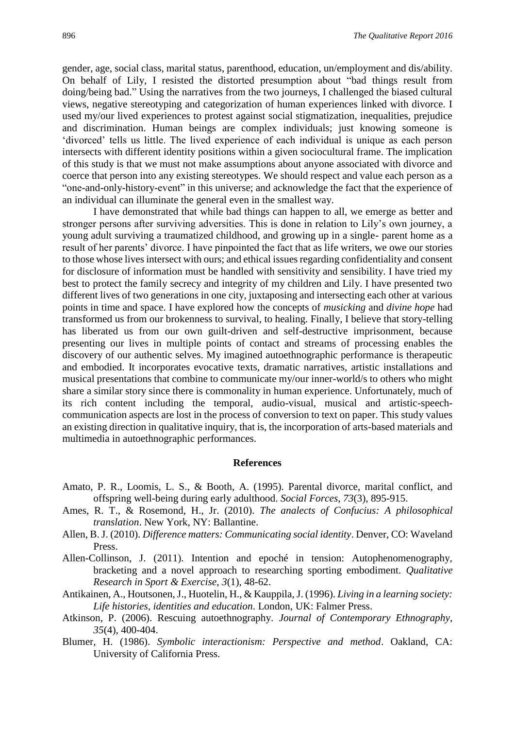gender, age, social class, marital status, parenthood, education, un/employment and dis/ability. On behalf of Lily, I resisted the distorted presumption about "bad things result from doing/being bad." Using the narratives from the two journeys, I challenged the biased cultural views, negative stereotyping and categorization of human experiences linked with divorce. I used my/our lived experiences to protest against social stigmatization, inequalities, prejudice and discrimination. Human beings are complex individuals; just knowing someone is 'divorced' tells us little. The lived experience of each individual is unique as each person intersects with different identity positions within a given sociocultural frame. The implication of this study is that we must not make assumptions about anyone associated with divorce and coerce that person into any existing stereotypes. We should respect and value each person as a "one-and-only-history-event" in this universe; and acknowledge the fact that the experience of an individual can illuminate the general even in the smallest way.

I have demonstrated that while bad things can happen to all, we emerge as better and stronger persons after surviving adversities. This is done in relation to Lily's own journey, a young adult surviving a traumatized childhood, and growing up in a single- parent home as a result of her parents' divorce. I have pinpointed the fact that as life writers, we owe our stories to those whose lives intersect with ours; and ethical issues regarding confidentiality and consent for disclosure of information must be handled with sensitivity and sensibility. I have tried my best to protect the family secrecy and integrity of my children and Lily. I have presented two different lives of two generations in one city, juxtaposing and intersecting each other at various points in time and space. I have explored how the concepts of *musicking* and *divine hope* had transformed us from our brokenness to survival, to healing. Finally, I believe that story-telling has liberated us from our own guilt-driven and self-destructive imprisonment, because presenting our lives in multiple points of contact and streams of processing enables the discovery of our authentic selves. My imagined autoethnographic performance is therapeutic and embodied. It incorporates evocative texts, dramatic narratives, artistic installations and musical presentations that combine to communicate my/our inner-world/s to others who might share a similar story since there is commonality in human experience. Unfortunately, much of its rich content including the temporal, audio-visual, musical and artistic-speechcommunication aspects are lost in the process of conversion to text on paper. This study values an existing direction in qualitative inquiry, that is, the incorporation of arts-based materials and multimedia in autoethnographic performances.

#### **References**

- Amato, P. R., Loomis, L. S., & Booth, A. (1995). Parental divorce, marital conflict, and offspring well-being during early adulthood. *Social Forces*, *73*(3), 895-915.
- Ames, R. T., & Rosemond, H., Jr. (2010). *The analects of Confucius: A philosophical translation*. New York, NY: Ballantine.
- Allen, B. J. (2010). *Difference matters: Communicating social identity*. Denver, CO: Waveland Press.
- Allen-Collinson, J. (2011). Intention and epoché in tension: Autophenomenography, bracketing and a novel approach to researching sporting embodiment. *Qualitative Research in Sport & Exercise*, *3*(1), 48-62.
- Antikainen, A., Houtsonen, J., Huotelin, H., & Kauppila, J. (1996). *Living in a learning society: Life histories, identities and education*. London, UK: Falmer Press.
- Atkinson, P. (2006). Rescuing autoethnography. *Journal of Contemporary Ethnography*, *35*(4), 400-404.
- Blumer, H. (1986). *Symbolic interactionism: Perspective and method*. Oakland, CA: University of California Press.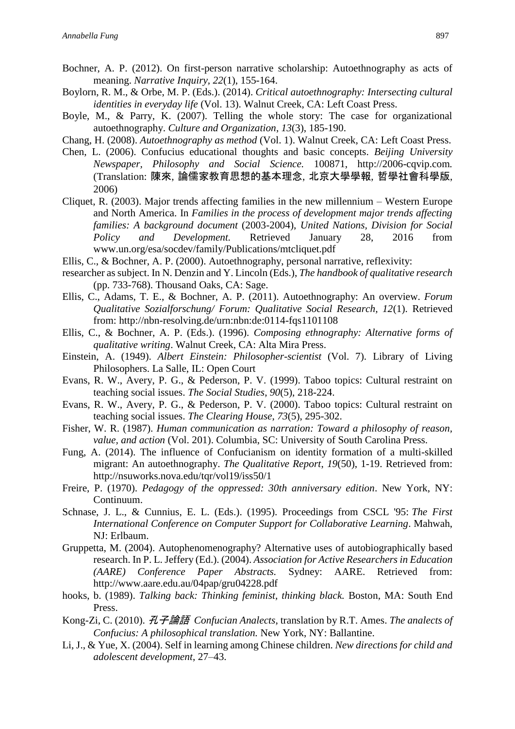- Bochner, A. P. (2012). On first-person narrative scholarship: Autoethnography as acts of meaning. *Narrative Inquiry, 22*(1), 155-164.
- Boylorn, R. M., & Orbe, M. P. (Eds.). (2014). *Critical autoethnography: Intersecting cultural identities in everyday life* (Vol. 13). Walnut Creek, CA: Left Coast Press.
- Boyle, M., & Parry, K. (2007). Telling the whole story: The case for organizational autoethnography. *Culture and Organization*, *13*(3), 185-190.
- Chang, H. (2008). *Autoethnography as method* (Vol. 1). Walnut Creek, CA: Left Coast Press.
- Chen, L. (2006). Confucius educational thoughts and basic concepts. *Beijing University Newspaper, Philosophy and Social Science.* 100871, http://2006-cqvip.com*.*  (Translation: 陳來, 論儒家教育思想的基本理念, 北京大學學報, 哲學社會科學版, 2006)
- Cliquet, R. (2003). Major trends affecting families in the new millennium Western Europe and North America. In *Families in the process of development major trends affecting families: A background document* (2003-2004), *United Nations, Division for Social Policy and Development.* Retrieved January 28, 2016 from [www.un.org/esa/socdev/family/Publications/mtcliquet.pdf](http://www.un.org/esa/socdev/family/Publications/mtcliquet.pdf)
- Ellis, C., & Bochner, A. P. (2000). Autoethnography, personal narrative, reflexivity:
- researcher as subject. In N. Denzin and Y. Lincoln (Eds.), *The handbook of qualitative research* (pp. 733-768). Thousand Oaks, CA: Sage.
- Ellis, C., Adams, T. E., & Bochner, A. P. (2011). Autoethnography: An overview. *Forum Qualitative Sozialforschung/ Forum: Qualitative Social Research, 12*(1). Retrieved from: <http://nbn-resolving.de/urn:nbn:de:0114-fqs1101108>
- Ellis, C., & Bochner, A. P. (Eds.). (1996). *Composing ethnography: Alternative forms of qualitative writing*. Walnut Creek, CA: Alta Mira Press.
- Einstein, A. (1949). *Albert Einstein: Philosopher-scientist* (Vol. 7). Library of Living Philosophers. La Salle, IL: Open Court
- Evans, R. W., Avery, P. G., & Pederson, P. V. (1999). Taboo topics: Cultural restraint on teaching social issues. *The Social Studies*, *90*(5), 218-224.
- Evans, R. W., Avery, P. G., & Pederson, P. V. (2000). Taboo topics: Cultural restraint on teaching social issues. *The Clearing House*, *73*(5), 295-302.
- Fisher, W. R. (1987). *Human communication as narration: Toward a philosophy of reason, value, and action* (Vol. 201). Columbia, SC: University of South Carolina Press.
- Fung, A. (2014). The influence of Confucianism on identity formation of a multi-skilled migrant: An autoethnography. *The Qualitative Report*, *19*(50), 1-19. Retrieved from: <http://nsuworks.nova.edu/tqr/vol19/iss50/1>
- Freire, P. (1970). *Pedagogy of the oppressed: 30th anniversary edition*. New York, NY: Continuum.
- Schnase, J. L., & Cunnius, E. L. (Eds.). (1995). Proceedings from CSCL '95: *The First International Conference on Computer Support for Collaborative Learning*. Mahwah, NJ: Erlbaum.
- Gruppetta, M. (2004). Autophenomenography? Alternative uses of autobiographically based research. In P. L. Jeffery (Ed.). (2004). *Association for Active Researchers in Education (AARE) Conference Paper Abstracts.* Sydney: AARE. Retrieved from: <http://www.aare.edu.au/04pap/gru04228.pdf>
- hooks, b. (1989). *Talking back: Thinking feminist, thinking black.* Boston, MA: South End Press.
- Kong-Zi, C. (2010). 孔子論語 *Confucian Analects*, translation by R.T. Ames. *The analects of Confucius: A philosophical translation.* New York, NY: Ballantine.
- Li, J., & Yue, X. (2004). Self in learning among Chinese children. *New directions for child and adolescent development*, 27–43.